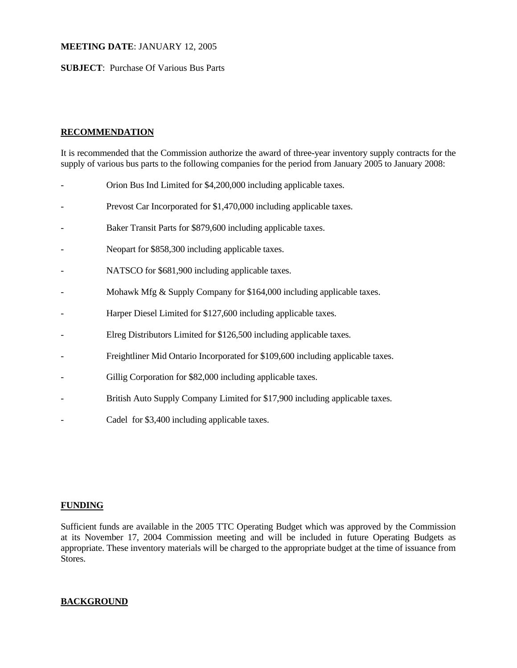## **MEETING DATE**: JANUARY 12, 2005

## **SUBJECT**: Purchase Of Various Bus Parts

# **RECOMMENDATION**

It is recommended that the Commission authorize the award of three-year inventory supply contracts for the supply of various bus parts to the following companies for the period from January 2005 to January 2008:

- Orion Bus Ind Limited for \$4,200,000 including applicable taxes.
- Prevost Car Incorporated for \$1,470,000 including applicable taxes.
- Baker Transit Parts for \$879,600 including applicable taxes.
- Neopart for \$858,300 including applicable taxes.
- NATSCO for \$681,900 including applicable taxes.
- Mohawk Mfg & Supply Company for \$164,000 including applicable taxes.
- Harper Diesel Limited for \$127,600 including applicable taxes.
- Elreg Distributors Limited for \$126,500 including applicable taxes.
- Freightliner Mid Ontario Incorporated for \$109,600 including applicable taxes.
- Gillig Corporation for \$82,000 including applicable taxes.
- British Auto Supply Company Limited for \$17,900 including applicable taxes.
- Cadel for \$3,400 including applicable taxes.

### **FUNDING**

Sufficient funds are available in the 2005 TTC Operating Budget which was approved by the Commission at its November 17, 2004 Commission meeting and will be included in future Operating Budgets as appropriate. These inventory materials will be charged to the appropriate budget at the time of issuance from Stores.

# **BACKGROUND**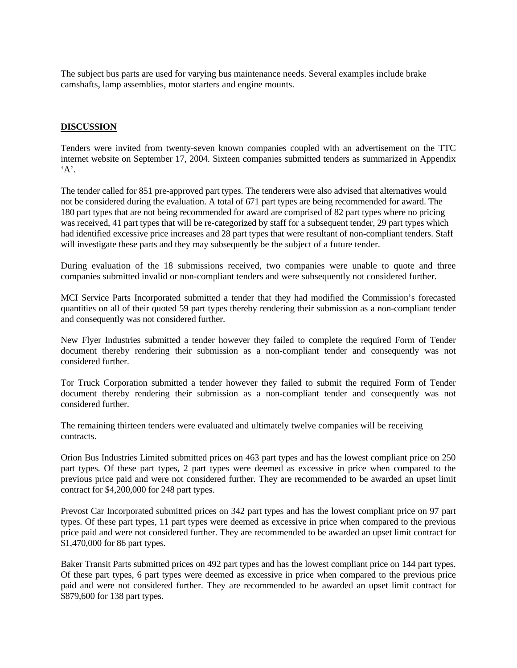The subject bus parts are used for varying bus maintenance needs. Several examples include brake camshafts, lamp assemblies, motor starters and engine mounts.

#### **DISCUSSION**

Tenders were invited from twenty-seven known companies coupled with an advertisement on the TTC internet website on September 17, 2004. Sixteen companies submitted tenders as summarized in Appendix  $A$ .

The tender called for 851 pre-approved part types. The tenderers were also advised that alternatives would not be considered during the evaluation. A total of 671 part types are being recommended for award. The 180 part types that are not being recommended for award are comprised of 82 part types where no pricing was received, 41 part types that will be re-categorized by staff for a subsequent tender, 29 part types which had identified excessive price increases and 28 part types that were resultant of non-compliant tenders. Staff will investigate these parts and they may subsequently be the subject of a future tender.

During evaluation of the 18 submissions received, two companies were unable to quote and three companies submitted invalid or non-compliant tenders and were subsequently not considered further.

MCI Service Parts Incorporated submitted a tender that they had modified the Commission's forecasted quantities on all of their quoted 59 part types thereby rendering their submission as a non-compliant tender and consequently was not considered further.

New Flyer Industries submitted a tender however they failed to complete the required Form of Tender document thereby rendering their submission as a non-compliant tender and consequently was not considered further.

Tor Truck Corporation submitted a tender however they failed to submit the required Form of Tender document thereby rendering their submission as a non-compliant tender and consequently was not considered further.

The remaining thirteen tenders were evaluated and ultimately twelve companies will be receiving contracts.

Orion Bus Industries Limited submitted prices on 463 part types and has the lowest compliant price on 250 part types. Of these part types, 2 part types were deemed as excessive in price when compared to the previous price paid and were not considered further. They are recommended to be awarded an upset limit contract for \$4,200,000 for 248 part types.

Prevost Car Incorporated submitted prices on 342 part types and has the lowest compliant price on 97 part types. Of these part types, 11 part types were deemed as excessive in price when compared to the previous price paid and were not considered further. They are recommended to be awarded an upset limit contract for \$1,470,000 for 86 part types.

Baker Transit Parts submitted prices on 492 part types and has the lowest compliant price on 144 part types. Of these part types, 6 part types were deemed as excessive in price when compared to the previous price paid and were not considered further. They are recommended to be awarded an upset limit contract for \$879,600 for 138 part types.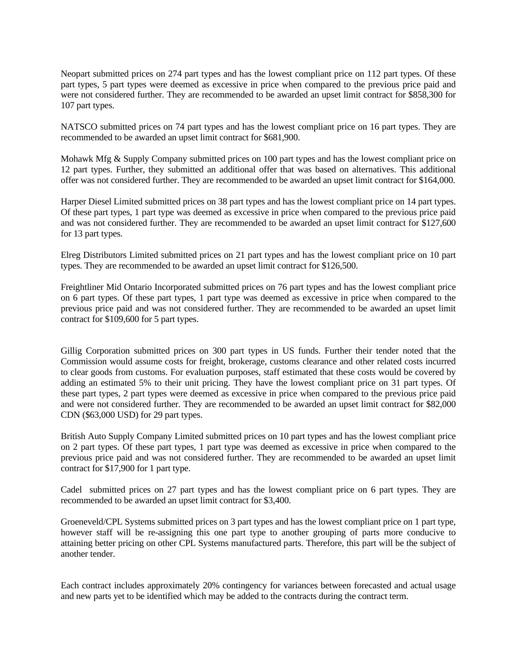Neopart submitted prices on 274 part types and has the lowest compliant price on 112 part types. Of these part types, 5 part types were deemed as excessive in price when compared to the previous price paid and were not considered further. They are recommended to be awarded an upset limit contract for \$858,300 for 107 part types.

NATSCO submitted prices on 74 part types and has the lowest compliant price on 16 part types. They are recommended to be awarded an upset limit contract for \$681,900.

Mohawk Mfg & Supply Company submitted prices on 100 part types and has the lowest compliant price on 12 part types. Further, they submitted an additional offer that was based on alternatives. This additional offer was not considered further. They are recommended to be awarded an upset limit contract for \$164,000.

Harper Diesel Limited submitted prices on 38 part types and has the lowest compliant price on 14 part types. Of these part types, 1 part type was deemed as excessive in price when compared to the previous price paid and was not considered further. They are recommended to be awarded an upset limit contract for \$127,600 for 13 part types.

Elreg Distributors Limited submitted prices on 21 part types and has the lowest compliant price on 10 part types. They are recommended to be awarded an upset limit contract for \$126,500.

Freightliner Mid Ontario Incorporated submitted prices on 76 part types and has the lowest compliant price on 6 part types. Of these part types, 1 part type was deemed as excessive in price when compared to the previous price paid and was not considered further. They are recommended to be awarded an upset limit contract for \$109,600 for 5 part types.

Gillig Corporation submitted prices on 300 part types in US funds. Further their tender noted that the Commission would assume costs for freight, brokerage, customs clearance and other related costs incurred to clear goods from customs. For evaluation purposes, staff estimated that these costs would be covered by adding an estimated 5% to their unit pricing. They have the lowest compliant price on 31 part types. Of these part types, 2 part types were deemed as excessive in price when compared to the previous price paid and were not considered further. They are recommended to be awarded an upset limit contract for \$82,000 CDN (\$63,000 USD) for 29 part types.

British Auto Supply Company Limited submitted prices on 10 part types and has the lowest compliant price on 2 part types. Of these part types, 1 part type was deemed as excessive in price when compared to the previous price paid and was not considered further. They are recommended to be awarded an upset limit contract for \$17,900 for 1 part type.

Cadel submitted prices on 27 part types and has the lowest compliant price on 6 part types. They are recommended to be awarded an upset limit contract for \$3,400.

Groeneveld/CPL Systems submitted prices on 3 part types and has the lowest compliant price on 1 part type, however staff will be re-assigning this one part type to another grouping of parts more conducive to attaining better pricing on other CPL Systems manufactured parts. Therefore, this part will be the subject of another tender.

Each contract includes approximately 20% contingency for variances between forecasted and actual usage and new parts yet to be identified which may be added to the contracts during the contract term.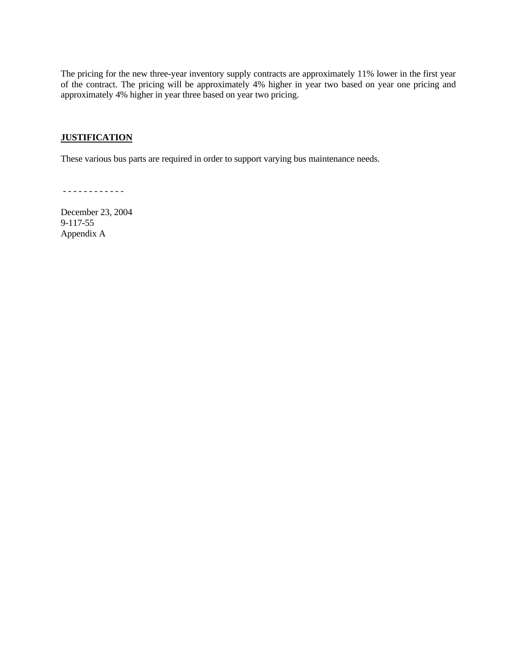The pricing for the new three-year inventory supply contracts are approximately 11% lower in the first year of the contract. The pricing will be approximately 4% higher in year two based on year one pricing and approximately 4% higher in year three based on year two pricing.

## **JUSTIFICATION**

These various bus parts are required in order to support varying bus maintenance needs.

- - - - - - - - - - - -

December 23, 2004 9-117-55 Appendix A